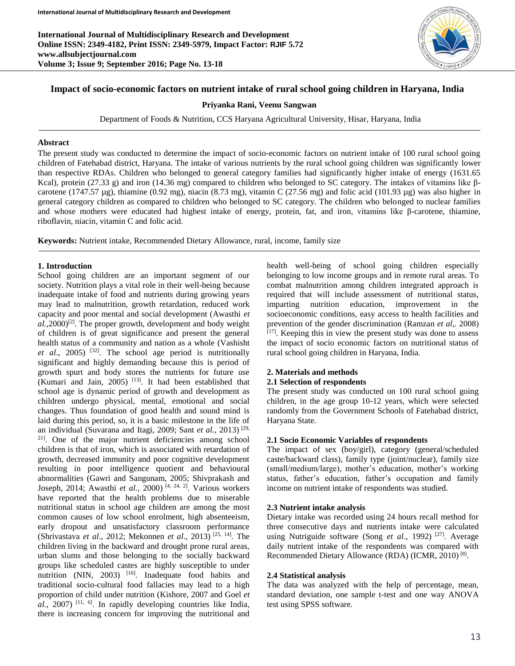**International Journal of Multidisciplinary Research and Development Online ISSN: 2349-4182, Print ISSN: 2349-5979, Impact Factor: RJIF 5.72 www.allsubjectjournal.com Volume 3; Issue 9; September 2016; Page No. 13-18**



# **Impact of socio-economic factors on nutrient intake of rural school going children in Haryana, India**

#### **Priyanka Rani, Veenu Sangwan**

Department of Foods & Nutrition, CCS Haryana Agricultural University, Hisar, Haryana, India

#### **Abstract**

The present study was conducted to determine the impact of socio-economic factors on nutrient intake of 100 rural school going children of Fatehabad district, Haryana. The intake of various nutrients by the rural school going children was significantly lower than respective RDAs. Children who belonged to general category families had significantly higher intake of energy (1631.65 Kcal), protein (27.33 g) and iron (14.36 mg) compared to children who belonged to SC category. The intakes of vitamins like βcarotene (1747.57 µg), thiamine (0.92 mg), niacin (8.73 mg), vitamin C (27.56 mg) and folic acid (101.93 µg) was also higher in general category children as compared to children who belonged to SC category. The children who belonged to nuclear families and whose mothers were educated had highest intake of energy, protein, fat, and iron, vitamins like β-carotene, thiamine, riboflavin, niacin, vitamin C and folic acid.

**Keywords:** Nutrient intake, Recommended Dietary Allowance, rural, income, family size

#### **1. Introduction**

School going children are an important segment of our society. Nutrition plays a vital role in their well-being because inadequate intake of food and nutrients during growing years may lead to malnutrition, growth retardation, reduced work capacity and poor mental and social development (Awasthi *et*   $aL$ , 2000)<sup>[2]</sup>. The proper growth, development and body weight of children is of great significance and present the general health status of a community and nation as a whole (Vashisht *et al*., 2005) [32]. The school age period is nutritionally significant and highly demanding because this is period of growth spurt and body stores the nutrients for future use (Kumari and Jain,  $2005$ ) <sup>[13]</sup>. It had been established that school age is dynamic period of growth and development as children undergo physical, mental, emotional and social changes. Thus foundation of good health and sound mind is laid during this period, so, it is a basic milestone in the life of an individual (Suvarana and Itagi, 2009; Sant *et al.,* 2013) [29, 21]. One of the major nutrient deficiencies among school children is that of iron, which is associated with retardation of growth, decreased immunity and poor cognitive development resulting in poor intelligence quotient and behavioural abnormalities (Gawri and Sangunam, 2005; Shivprakash and Joseph, 2014; Awasthi *et al.,* 2000) [4, 24, 2]. Various workers have reported that the health problems due to miserable nutritional status in school age children are among the most common causes of low school enrolment, high absenteeism, early dropout and unsatisfactory classroom performance (Shrivastava *et al*., 2012; Mekonnen *et al*., 2013) [25, 14]. The children living in the backward and drought prone rural areas, urban slums and those belonging to the socially backward groups like scheduled castes are highly susceptible to under nutrition (NIN,  $2003$ ) <sup>[16]</sup>. Inadequate food habits and traditional socio-cultural food fallacies may lead to a high proportion of child under nutrition (Kishore, 2007 and Goel *et*   $al$ , 2007)<sup>[11, 6]</sup>. In rapidly developing countries like India, there is increasing concern for improving the nutritional and

health well-being of school going children especially belonging to low income groups and in remote rural areas. To combat malnutrition among children integrated approach is required that will include assessment of nutritional status, imparting nutrition education, improvement in the socioeconomic conditions, easy access to health facilities and prevention of the gender discrimination (Ramzan *et al,.* 2008)  $[17]$ . Keeping this in view the present study was done to assess the impact of socio economic factors on nutritional status of rural school going children in Haryana, India.

#### **2. Materials and methods**

#### **2.1 Selection of respondents**

The present study was conducted on 100 rural school going children, in the age group 10-12 years, which were selected randomly from the Government Schools of Fatehabad district, Haryana State.

## **2.1 Socio Economic Variables of respondents**

The impact of sex (boy/girl), category (general/scheduled caste/backward class), family type (joint/nuclear), family size (small/medium/large), mother's education, mother's working status, father's education, father's occupation and family income on nutrient intake of respondents was studied.

#### **2.3 Nutrient intake analysis**

Dietary intake was recorded using 24 hours recall method for three consecutive days and nutrients intake were calculated using Nutriguide software (Song *et al.*, 1992)<sup>[27]</sup>. Average daily nutrient intake of the respondents was compared with Recommended Dietary Allowance (RDA) (ICMR, 2010)<sup>[8]</sup>.

#### **2.4 Statistical analysis**

The data was analyzed with the help of percentage, mean, standard deviation, one sample t-test and one way ANOVA test using SPSS software.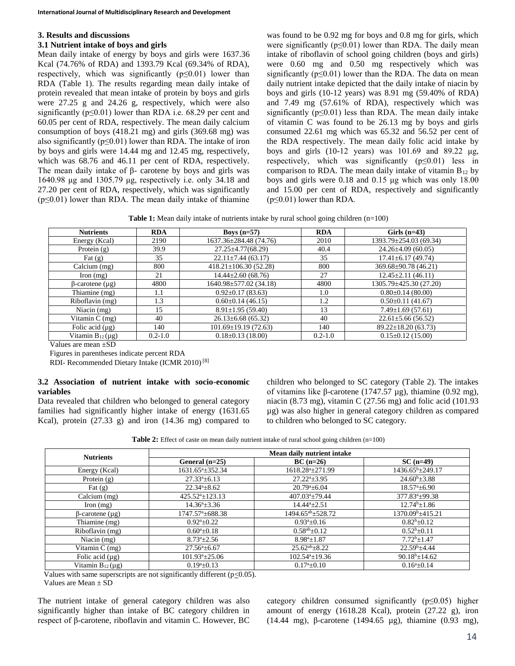#### **3. Results and discussions**

# **3.1 Nutrient intake of boys and girls**

Mean daily intake of energy by boys and girls were 1637.36 Kcal (74.76% of RDA) and 1393.79 Kcal (69.34% of RDA), respectively, which was significantly  $(p \le 0.01)$  lower than RDA (Table 1). The results regarding mean daily intake of protein revealed that mean intake of protein by boys and girls were 27.25 g and 24.26 g, respectively, which were also significantly ( $p \le 0.01$ ) lower than RDA i.e. 68.29 per cent and 60.05 per cent of RDA, respectively. The mean daily calcium consumption of boys (418.21 mg) and girls (369.68 mg) was also significantly ( $p \le 0.01$ ) lower than RDA. The intake of iron by boys and girls were 14.44 mg and 12.45 mg, respectively, which was 68.76 and 46.11 per cent of RDA, respectively. The mean daily intake of  $β$ - carotene by boys and girls was 1640.98 μg and 1305.79 μg, respectively i.e. only 34.18 and 27.20 per cent of RDA, respectively, which was significantly  $(p \le 0.01)$  lower than RDA. The mean daily intake of thiamine

was found to be 0.92 mg for boys and 0.8 mg for girls, which were significantly ( $p \le 0.01$ ) lower than RDA. The daily mean intake of riboflavin of school going children (boys and girls) were 0.60 mg and 0.50 mg respectively which was significantly ( $p \le 0.01$ ) lower than the RDA. The data on mean daily nutrient intake depicted that the daily intake of niacin by boys and girls (10-12 years) was 8.91 mg (59.40% of RDA) and 7.49 mg (57.61% of RDA), respectively which was significantly  $(p \le 0.01)$  less than RDA. The mean daily intake of vitamin C was found to be 26.13 mg by boys and girls consumed 22.61 mg which was 65.32 and 56.52 per cent of the RDA respectively. The mean daily folic acid intake by boys and girls  $(10-12 \text{ years})$  was  $101.69$  and  $89.22 \mu$ g, respectively, which was significantly  $(p \le 0.01)$  less in comparison to RDA. The mean daily intake of vitamin  $B_{12}$  by boys and girls were 0.18 and 0.15 μg which was only 18.00 and 15.00 per cent of RDA, respectively and significantly  $(p \leq 0.01)$  lower than RDA.

**Table 1:** Mean daily intake of nutrients intake by rural school going children (n=100)

| <b>Nutrients</b>        | <b>RDA</b>  | Boys $(n=57)$              | <b>RDA</b>  | Girls $(n=43)$            |
|-------------------------|-------------|----------------------------|-------------|---------------------------|
| Energy (Kcal)           | 2190        | 1637.36±284.48 (74.76)     | 2010        | 1393.79±254.03 (69.34)    |
| Protein $(g)$           | 39.9        | $27.25 \pm 4.77(68.29)$    | 40.4        | $24.26 \pm 4.09$ (60.05)  |
| Fat $(g)$               | 35          | $22.11 \pm 7.44$ (63.17)   | 35          | $17.41 \pm 6.17$ (49.74)  |
| Calcium (mg)            | 800         | $418.21 \pm 106.30(52.28)$ | 800         | 369.68±90.78 (46.21)      |
| Iron $(mg)$             | 21          | $14.44 \pm 2.60$ (68.76)   | 27          | $12.45 \pm 2.11$ (46.11)  |
| $\beta$ -carotene (µg)  | 4800        | 1640.98±577.02 (34.18)     | 4800        | 1305.79±425.30 (27.20)    |
| Thiamine (mg)           | 1.1         | $0.92 \pm 0.17$ (83.63)    | 1.0         | $0.80 \pm 0.14$ (80.00)   |
| Riboflavin (mg)         | 1.3         | $0.60 \pm 0.14$ (46.15)    | 1.2         | $0.50 \pm 0.11$ (41.67)   |
| Niacin $(mg)$           | 15          | $8.91 \pm 1.95(59.40)$     | 13          | $7.49 \pm 1.69(57.61)$    |
| Vitamin $C$ (mg)        | 40          | $26.13 \pm 6.68$ (65.32)   | 40          | $22.61 \pm 5.66$ (56.52)  |
| Folic acid $(\mu g)$    | 140         | $101.69 \pm 19.19(72.63)$  | 140         | $89.22 \pm 18.20$ (63.73) |
| Vitamin $B_{12}(\mu g)$ | $0.2 - 1.0$ | $0.18 \pm 0.13$ (18.00)    | $0.2 - 1.0$ | $0.15 \pm 0.12$ (15.00)   |

Values are mean +SD

Figures in parentheses indicate percent RDA

RDI- Recommended Dietary Intake (ICMR 2010) [8]

## **3.2 Association of nutrient intake with socio-economic variables**

Data revealed that children who belonged to general category families had significantly higher intake of energy (1631.65 Kcal), protein (27.33 g) and iron (14.36 mg) compared to

children who belonged to SC category (Table 2). The intakes of vitamins like β-carotene (1747.57 µg), thiamine (0.92 mg), niacin (8.73 mg), vitamin C (27.56 mg) and folic acid (101.93 µg) was also higher in general category children as compared to children who belonged to SC category.

| <b>Table 2:</b> Effect of caste on mean daily nutrient intake of rural school going children $(n=100)$ |  |  |
|--------------------------------------------------------------------------------------------------------|--|--|
|--------------------------------------------------------------------------------------------------------|--|--|

| <b>Nutrients</b>        | Mean daily nutrient intake   |                                  |                              |  |
|-------------------------|------------------------------|----------------------------------|------------------------------|--|
|                         | General $(n=25)$             | $BC(n=26)$                       | $SC(n=49)$                   |  |
| Energy (Kcal)           | 1631.65 <sup>a</sup> ±352.34 | 1618.28 <sup>a</sup> ±271.99     | $1436.65^b \pm 249.17$       |  |
| Protein $(g)$           | $27.33^a \pm 6.13$           | $27.22^{\mathrm{a}}\text{+}3.95$ | $24.60^b \pm 3.88$           |  |
| Fat $(g)$               | $22.34^a \pm 8.62$           | $20.79^{\circ}$ ±6.04            | $18.57^{\mathrm{a}}\pm 6.90$ |  |
| Calcium (mg)            | $425.52^a \pm 123.13$        | $407.03^a \pm 79.44$             | 377.83 <sup>a</sup> ±99.38   |  |
| $\Gamma$ Iron $(mg)$    | $14.36^a \pm 3.36$           | $14.44^a \pm 2.51$               | $12.74^b \pm 1.86$           |  |
| $\beta$ -carotene (µg)  | $1747.57^{\circ}$ ± 688.38   | 1494.65 <sup>ab</sup> ±528.72    | 1370.09 <sup>b</sup> ±415.21 |  |
| Thiamine (mg)           | $0.92^{\mathrm{a}}\pm0.22$   | $0.93^{a}+0.16$                  | $0.82^{b}+0.12$              |  |
| Riboflavin (mg)         | $0.60^a \pm 0.18$            | $0.58^{ab} \pm 0.12$             | $0.52^b \pm 0.11$            |  |
| Niacin $(mg)$           | $8.73^a \pm 2.56$            | $8.98^a \pm 1.87$                | $7.72^{b+1.47}$              |  |
| Vitamin $C$ (mg)        | $27.56^{\circ}$ ±6.67        | $25.62^{ab} \pm 8.22$            | $22.59^b \pm 4.44$           |  |
| Folic acid $(\mu g)$    | $101.93^a \pm 25.06$         | $102.54^a \pm 19.36$             | $90.18^{b} \pm 14.62$        |  |
| Vitamin $B_{12}(\mu g)$ | $0.19^a \pm 0.13$            | $0.17^{\mathrm{a}}\pm0.10$       | $0.16^a \pm 0.14$            |  |

Values with same superscripts are not significantly different  $(p<0.05)$ .

Values are Mean ± SD

The nutrient intake of general category children was also significantly higher than intake of BC category children in respect of β-carotene, riboflavin and vitamin C. However, BC

category children consumed significantly (p≤0.05) higher amount of energy (1618.28 Kcal), protein (27.22 g), iron (14.44 mg), β-carotene (1494.65 µg), thiamine (0.93 mg),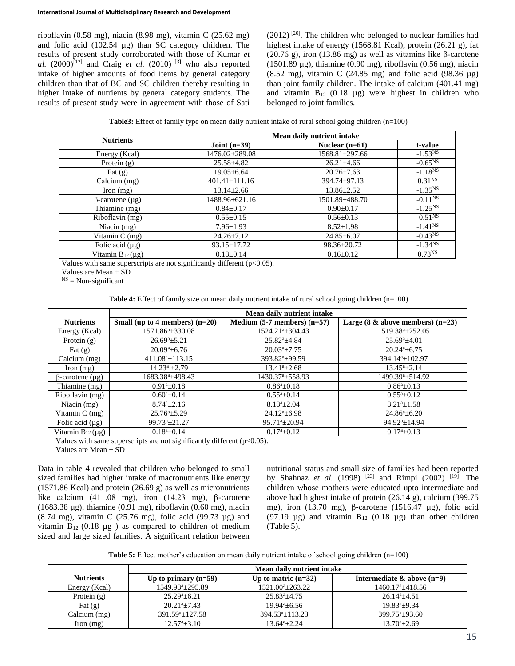riboflavin (0.58 mg), niacin (8.98 mg), vitamin C (25.62 mg) and folic acid (102.54 µg) than SC category children. The results of present study corroborated with those of Kumar *et al.*  $(2000)^{[12]}$  and Craig *et al.*  $(2010)^{[3]}$  who also reported intake of higher amounts of food items by general category children than that of BC and SC children thereby resulting in higher intake of nutrients by general category students. The results of present study were in agreement with those of Sati

 $(2012)$ <sup>[20]</sup>. The children who belonged to nuclear families had highest intake of energy (1568.81 Kcal), protein (26.21 g), fat (20.76 g), iron (13.86 mg) as well as vitamins like β-carotene (1501.89  $\mu$ g), thiamine (0.90 mg), riboflavin (0.56 mg), niacin (8.52 mg), vitamin C (24.85 mg) and folic acid (98.36 µg) than joint family children. The intake of calcium (401.41 mg) and vitamin  $B_{12}$  (0.18 µg) were highest in children who belonged to joint families.

**Table3:** Effect of family type on mean daily nutrient intake of rural school going children (n=100)

| <b>Nutrients</b>        | Mean daily nutrient intake |                      |                         |  |
|-------------------------|----------------------------|----------------------|-------------------------|--|
|                         | Joint $(n=39)$             | Nuclear $(n=61)$     | t-value                 |  |
| Energy (Kcal)           | 1476.02±289.08             | $1568.81 \pm 297.66$ | $-1.53^{NS}$            |  |
| Protein (g)             | $25.58 \pm 4.82$           | $26.21 \pm 4.66$     | $-0.65^{NS}$            |  |
| Fat $(g)$               | $19.05 \pm 6.64$           | $20.76 \pm 7.63$     | $-1.18^{NS}$            |  |
| Calcium (mg)            | $401.41 \pm 111.16$        | $394.74 \pm 97.13$   | $0.31^{NS}$             |  |
| Iron $(mg)$             | $13.14 \pm 2.66$           | $13.86 \pm 2.52$     | $-1.35^{NS}$            |  |
| $\beta$ -carotene (µg)  | 1488.96±621.16             | 1501.89±488.70       | $-0.11^{N\overline{S}}$ |  |
| Thiamine (mg)           | $0.84 \pm 0.17$            | $0.90 \pm 0.17$      | $-1.25^{NS}$            |  |
| Riboflavin (mg)         | $0.55 \pm 0.15$            | $0.56 \pm 0.13$      | $-0.51^{NS}$            |  |
| Niacin (mg)             | $7.96 \pm 1.93$            | $8.52 \pm 1.98$      | $-1.41^{NS}$            |  |
| Vitamin $C$ (mg)        | $24.26 \pm 7.12$           | $24.85 \pm 6.07$     | $-0.43^{NS}$            |  |
| Folic acid $(\mu g)$    | $93.15 \pm 17.72$          | $98.36 \pm 20.72$    | $-1.34^{NS}$            |  |
| Vitamin $B_{12}(\mu g)$ | $0.18 \pm 0.14$            | $0.16 \pm 0.12$      | $0.73^{NS}$             |  |

Values with same superscripts are not significantly different ( $p \le 0.05$ ).

Values are Mean ± SD

 $<sup>NS</sup>$  = Non-significant</sup>

**Table 4:** Effect of family size on mean daily nutrient intake of rural school going children (n=100)

|                         | Mean daily nutrient intake       |                                 |                                       |  |
|-------------------------|----------------------------------|---------------------------------|---------------------------------------|--|
| <b>Nutrients</b>        | Small (up to 4 members) $(n=20)$ | Medium $(5-7$ members) $(n=57)$ | Large $(8 \&$ above members) $(n=23)$ |  |
| Energy (Kcal)           | $1571.86^a \pm 330.08$           | 1524.21 <sup>a</sup> ±304.43    | 1519.38 <sup>a</sup> ±252.05          |  |
| Protein $(g)$           | $26.69^a \pm 5.21$               | $25.82^{a} + 4.84$              | $25.69^a \pm 4.01$                    |  |
| Fat $(g)$               | $20.09^{a} + 6.76$               | $20.03^a \pm 7.75$              | $20.24^{a} + 6.75$                    |  |
| Calcium (mg)            | $411.08^a \pm 113.15$            | $393.82^{a} + 99.59$            | 394.14 <sup>a</sup> ±102.97           |  |
| $\Gamma$ Iron $(mg)$    | $14.23^a + 2.79$                 | $13.41^{a} + 2.68$              | $13.45^{a}+2.14$                      |  |
| $\beta$ -carotene (µg)  | 1683.38 <sup>a</sup> ±498.43     | $1430.37^{\circ}$ ± 558.93      | 1499.39 <sup>a</sup> ±514.92          |  |
| Thiamine (mg)           | $0.91^{a}+0.18$                  | $0.86^{a}+0.18$                 | $0.86^{a}+0.13$                       |  |
| Riboflavin (mg)         | $0.60^a \pm 0.14$                | $0.55^a \pm 0.14$               | $0.55^{\mathrm{a}}\pm0.12$            |  |
| Niacin $(mg)$           | $8.74^{a} + 2.16$                | $8.18^{a} + 2.04$               | $8.21^{a}+1.58$                       |  |
| Vitamin $C$ (mg)        | $25.76^{\circ}$ ±5.29            | $24.12^{\mathrm{a}}\pm6.98$     | $24.86^a \pm 6.20$                    |  |
| Folic acid $(\mu g)$    | $99.73^a \pm 21.27$              | $95.71^a \pm 20.94$             | $94.92^a \pm 14.94$                   |  |
| Vitamin $B_{12}(\mu g)$ | $0.18^{a}+0.14$                  | $0.17^{a}+0.12$                 | $0.17^{a}+0.13$                       |  |

Values with same superscripts are not significantly different ( $p \le 0.05$ ).

Values are Mean ± SD

Data in table 4 revealed that children who belonged to small sized families had higher intake of macronutrients like energy (1571.86 Kcal) and protein (26.69 g) as well as micronutrients like calcium (411.08 mg), iron (14.23 mg), β-carotene (1683.38 µg), thiamine (0.91 mg), riboflavin (0.60 mg), niacin (8.74 mg), vitamin C (25.76 mg), folic acid (99.73 µg) and vitamin  $B_{12}$  (0.18  $\mu$ g) as compared to children of medium sized and large sized families. A significant relation between

nutritional status and small size of families had been reported by Shahnaz *et al.* (1998) <sup>[23]</sup> and Rimpi (2002) <sup>[19]</sup>. The children whose mothers were educated upto intermediate and above had highest intake of protein (26.14 g), calcium (399.75 mg), iron (13.70 mg), β-carotene (1516.47 µg), folic acid (97.19  $\mu$ g) and vitamin B<sub>12</sub> (0.18  $\mu$ g) than other children (Table 5).

**Table 5:** Effect mother's education on mean daily nutrient intake of school going children (n=100)

|                      | Mean daily nutrient intake       |                        |                               |  |
|----------------------|----------------------------------|------------------------|-------------------------------|--|
| <b>Nutrients</b>     | Up to primary $(n=59)$           | Up to matric $(n=32)$  | Intermediate $\&$ above (n=9) |  |
| Energy (Kcal)        | $1549.98^{\mathrm{a}}\pm 295.89$ | $1521.00^{a} + 263.22$ | $1460.17^{\circ}$ ± 418.56    |  |
| Protein $(g)$        | $25.29^{a} + 6.21$               | $25.83^{a} + 4.75$     | $26.14^{a} + 4.51$            |  |
| Fat $(g)$            | $20.21^{a} + 7.43$               | $19.94^{a} + 6.56$     | $19.83^{a}+9.34$              |  |
| Calcium $(mg)$       | $391.59^{a}+127.58$              | $394.53^{a}+113.23$    | $399.75^{a} + 93.60$          |  |
| $\Gamma$ Iron $(mg)$ | $12.57^{a} + 3.10$               | $13.64^{a}+2.24$       | $13.70^{\circ}$ ±2.69         |  |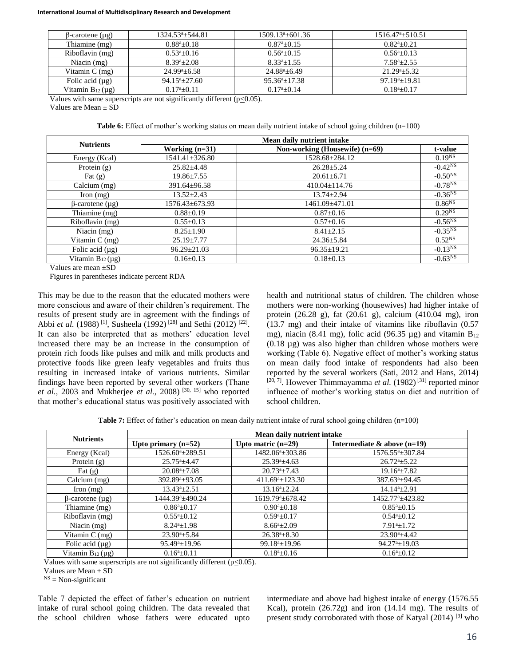#### **International Journal of Multidisciplinary Research and Development**

| B-carotene (µg)         | $1324.53^{\circ}$ ± 544.81 | $1509.13^{a} + 601.36$ | $1516.47^{a} + 510.51$ |
|-------------------------|----------------------------|------------------------|------------------------|
| Thiamine (mg)           | $0.88^{a}+0.18$            | $0.87^{a}+0.15$        | $0.82^{a} + 0.21$      |
| Riboflavin (mg)         | $0.53^{a}+0.16$            | $0.56^{a} + 0.15$      | $0.56^{a}+0.13$        |
| Niacin $(mg)$           | $8.39^{\rm a} \pm 2.08$    | $8.33^{a} \pm 1.55$    | $7.58^{a}+2.55$        |
| Vitamin $C$ (mg)        | $24.99^{\circ}+6.58$       | $24.88^{\circ}+6.49$   | $21.29^{a} + 5.32$     |
| Folic acid $(\mu g)$    | $94.15^{a} + 27.60$        | $95.36^a \pm 17.38$    | $97.19^{a}+19.81$      |
| Vitamin $B_{12}(\mu g)$ | $0.17^{a}+0.11$            | $0.17^{a}+0.14$        | $0.18^{a} + 0.17$      |

Values with same superscripts are not significantly different ( $p \le 0.05$ ).

Values are Mean ± SD

**Table 6:** Effect of mother's working status on mean daily nutrient intake of school going children (n=100)

| <b>Nutrients</b>        |                      | Mean daily nutrient intake     |                    |
|-------------------------|----------------------|--------------------------------|--------------------|
|                         | Working $(n=31)$     | Non-working (Housewife) (n=69) | t-value            |
| Energy (Kcal)           | $1541.41 \pm 326.80$ | 1528.68±284.12                 | $0.19^{NS}$        |
| Protein $(g)$           | $25.82 + 4.48$       | $26.28 \pm 5.24$               | $-0.42^{NS}$       |
| Fat $(g)$               | $19.86 \pm 7.55$     | $20.61 \pm 6.71$               | $-0.50^{NS}$       |
| Calcium (mg)            | $391.64 \pm 96.58$   | $410.04 \pm 114.76$            | $-0.78^{NS}$       |
| Iron $(mg)$             | $13.52 \pm 2.43$     | $13.74 \pm 2.94$               | $-0.36^{NS}$       |
| $\beta$ -carotene (µg)  | $1576.43 \pm 673.93$ | 1461.09±471.01                 | 0.86 <sup>NS</sup> |
| Thiamine (mg)           | $0.88 \pm 0.19$      | $0.87 \pm 0.16$                | $0.29^{NS}$        |
| Riboflavin (mg)         | $0.55 \pm 0.13$      | $0.57 \pm 0.16$                | $-0.56^{NS}$       |
| Niacin $(mg)$           | $8.25 \pm 1.90$      | $8.41 \pm 2.15$                | $-0.35^{NS}$       |
| Vitamin $C$ (mg)        | $25.19 \pm 7.77$     | $24.36 \pm 5.84$               | $0.52^{NS}$        |
| Folic acid $(\mu g)$    | $96.29 \pm 21.03$    | $96.35 \pm 19.21$              | $-0.13^{NS}$       |
| Vitamin $B_{12}(\mu g)$ | $0.16 \pm 0.13$      | $0.18 \pm 0.13$                | $-0.63NS$          |

Values are mean ±SD

Figures in parentheses indicate percent RDA

This may be due to the reason that the educated mothers were more conscious and aware of their children's requirement. The results of present study are in agreement with the findings of Abbi *et al.* (1988)<sup>[1]</sup>, Susheela (1992)<sup>[28]</sup> and Sethi (2012)<sup>[22]</sup>. It can also be interpreted that as mothers' education level increased there may be an increase in the consumption of protein rich foods like pulses and milk and milk products and protective foods like green leafy vegetables and fruits thus resulting in increased intake of various nutrients. Similar findings have been reported by several other workers (Thane *et al.,* 2003 and Mukherjee *et al.,* 2008)<sup>[30, 15]</sup> who reported that mother's educational status was positively associated with

health and nutritional status of children. The children whose mothers were non-working (housewives) had higher intake of protein (26.28 g), fat (20.61 g), calcium (410.04 mg), iron (13.7 mg) and their intake of vitamins like riboflavin (0.57 mg), niacin (8.41 mg), folic acid (96.35  $\mu$ g) and vitamin B<sub>12</sub> (0.18 µg) was also higher than children whose mothers were working (Table 6). Negative effect of mother's working status on mean daily food intake of respondents had also been reported by the several workers (Sati, 2012 and Hans, 2014) [20, 7]. However Thimmayamma *et al.* (1982)<sup>[31]</sup> reported minor influence of mother's working status on diet and nutrition of school children.

**Table 7:** Effect of father's education on mean daily nutrient intake of rural school going children (n=100)

| <b>Nutrients</b>        | Mean daily nutrient intake   |                             |                                |  |
|-------------------------|------------------------------|-----------------------------|--------------------------------|--|
|                         | Upto primary $(n=52)$        | Upto matric $(n=29)$        | Intermediate $\&$ above (n=19) |  |
| Energy (Kcal)           | 1526.60 <sup>a</sup> ±289.51 | $1482.06^a \pm 303.86$      | $1576.55^{\circ}$ ± 307.84     |  |
| Protein $(g)$           | $25.75^{\circ}$ ±4.47        | $25.39^{\circ}$ ±4.63       | $26.72^{\mathrm{a}} \pm 5.22$  |  |
| Fat $(g)$               | $20.08^a \pm 7.08$           | $20.73^a \pm 7.43$          | $19.16^a \pm 7.82$             |  |
| Calcium (mg)            | $392.89^a \pm 93.05$         | $411.69^{\circ} \pm 123.30$ | $387.63^a \pm 94.45$           |  |
| $\ln(m)$                | $13.43^a \pm 2.51$           | $13.16^a \pm 2.24$          | $14.14^a \pm 2.91$             |  |
| $\beta$ -carotene (µg)  | 1444.39 <sup>a</sup> ±490.24 | $1619.79^{\circ}$ ±678.42   | 1452.77 <sup>a</sup> ±423.82   |  |
| Thiamine (mg)           | $0.86^a \pm 0.17$            | $0.90^a \pm 0.18$           | $0.85^{\mathrm{a}}\pm0.15$     |  |
| Riboflavin (mg)         | $0.55^{\mathrm{a}}\pm0.12$   | $0.59^a \pm 0.17$           | $0.54^a \pm 0.12$              |  |
| Niacin $(mg)$           | $8.24^a \pm 1.98$            | $8.66^{a}+2.09$             | $7.91^{\text{a}} \pm 1.72$     |  |
| Vitamin $C$ (mg)        | $23.90^{a} + 5.84$           | $26.38^{\circ} \pm 8.30$    | $23.90^a \pm 4.42$             |  |
| Folic acid $(\mu g)$    | $95.49^a \pm 19.96$          | $99.18^a \pm 19.96$         | $94.27^{\mathrm{a}}\pm19.03$   |  |
| Vitamin $B_{12}(\mu g)$ | $0.16^a \pm 0.11$            | $0.18^{a}+0.16$             | $0.16^a \pm 0.12$              |  |

Values with same superscripts are not significantly different  $(p<0.05)$ .

Values are Mean + SD

 $<sup>NS</sup>$  = Non-significant</sup>

Table 7 depicted the effect of father's education on nutrient intake of rural school going children. The data revealed that the school children whose fathers were educated upto intermediate and above had highest intake of energy (1576.55 Kcal), protein (26.72g) and iron (14.14 mg). The results of present study corroborated with those of Katyal  $(2014)$ <sup>[9]</sup> who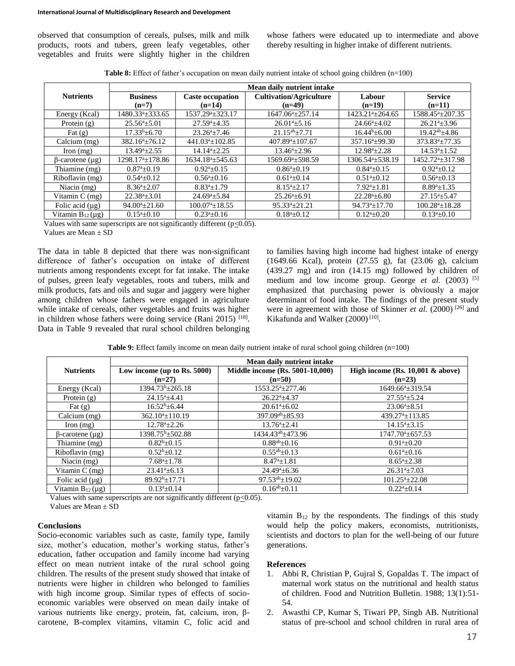observed that consumption of cereals, pulses, milk and milk products, roots and tubers, green leafy vegetables, other vegetables and fruits were slightly higher in the children whose fathers were educated up to intermediate and above thereby resulting in higher intake of different nutrients.

**Table 8:** Effect of father's occupation on mean daily nutrient intake of school going children (n=100)

|                         | Mean daily nutrient intake      |                              |                                |                                  |                              |
|-------------------------|---------------------------------|------------------------------|--------------------------------|----------------------------------|------------------------------|
| <b>Nutrients</b>        | <b>Business</b>                 | <b>Caste occupation</b>      | <b>Cultivation/Agriculture</b> | Labour                           | <b>Service</b>               |
|                         | $(n=7)$                         | $(n=14)$                     | $(n=49)$                       | $(n=19)$                         | $(n=11)$                     |
| Energy (Kcal)           | 1480.33 <sup>a</sup> ±333.65    | 1537.29 <sup>a</sup> ±323.17 | $1647.06^a \pm 257.14$         | $1423.21^{\mathrm{a}}\pm 264.65$ | $1588.45^{\circ} \pm 207.35$ |
| Protein $(g)$           | $25.56^a \pm 5.01$              | $27.59^{\circ}$ ±4.35        | $26.01^a \pm 5.16$             | $24.66^a \pm 4.02$               | $26.21^a \pm 3.96$           |
| Fat $(g)$               | $17.33b\pm 6.70$                | $23.26^a \pm 7.46$           | $21.15^{ab} + 7.71$            | $16.44^{b} \pm 6.00$             | $19.42^{ab} + 4.86$          |
| Calcium (mg)            | $382.16^a \pm 76.12$            | $441.03^a \pm 102.85$        | $407.89^a \pm 107.67$          | $357.16^a \pm 99.30$             | $373.83^a \pm 77.35$         |
| Iron $(mg)$             | $13.49^a \pm 2.55$              | $14.14^{a} + 2.25$           | $13.46^a \pm 2.96$             | $12.98^{a}+2.28$                 | $14.53^a \pm 1.52$           |
| $\beta$ -carotene (µg)  | $1298.17^{\text{a}} \pm 178.86$ | $1634.18^a \pm 545.63$       | $1569.69^{\circ}$ ±598.59      | 1306.54 <sup>a</sup> ±538.19     | 1452.72 <sup>a</sup> ±317.98 |
| Thiamine (mg)           | $0.87^{\mathrm{a}}\pm0.19$      | $0.92^a \pm 0.15$            | $0.86^a \pm 0.19$              | $0.84^a \pm 0.15$                | $0.92^{\mathrm{a}}\pm0.12$   |
| Riboflavin (mg)         | $0.54^a \pm 0.12$               | $0.56^a \pm 0.16$            | $0.61^a \pm 0.14$              | $0.51^a \pm 0.12$                | $0.56^a \pm 0.13$            |
| Niacin $(mg)$           | $8.36^a \pm 2.07$               | $8.83^a \pm 1.79$            | $8.15^a \pm 2.17$              | $7.92^{\mathrm{a}}$ ±1.81        | $8.89^a \pm 1.35$            |
| Vitamin $C$ (mg)        | $22.38^a \pm 3.01$              | $24.69^a \pm 5.84$           | $25.26^a \pm 6.91$             | $22.28^a \pm 6.80$               | $27.15^a \pm 5.47$           |
| Folic acid $(\mu g)$    | $94.00^a \pm 21.60$             | $100.07^{\circ}$ ±18.55      | $95.33^a \pm 21.21$            | $94.73^a \pm 17.70$              | $100.28^a \pm 18.28$         |
| Vitamin $B_{12}(\mu g)$ | $0.15^a \pm 0.10$               | $0.23^a \pm 0.16$            | $0.18^a \pm 0.12$              | $0.12^a \pm 0.20$                | $0.13^a \pm 0.10$            |

Values with same superscripts are not significantly different  $(p<0.05)$ .

Values are Mean ± SD

The data in table 8 depicted that there was non-significant difference of father's occupation on intake of different nutrients among respondents except for fat intake. The intake of pulses, green leafy vegetables, roots and tubers, milk and milk products, fats and oils and sugar and jaggery were higher among children whose fathers were engaged in agriculture while intake of cereals, other vegetables and fruits was higher in children whose fathers were doing service (Rani 2015)  $^{[18]}$ . Data in Table 9 revealed that rural school children belonging

to families having high income had highest intake of energy (1649.66 Kcal), protein (27.55 g), fat (23.06 g), calcium (439.27 mg) and iron (14.15 mg) followed by children of medium and low income group. George et al. (2003) <sup>[5]</sup> emphasized that purchasing power is obviously a major determinant of food intake. The findings of the present study were in agreement with those of Skinner *et al.* (2000)<sup>[26]</sup> and Kikafunda and Walker (2000)<sup>[10]</sup>.

**Table 9:** Effect family income on mean daily nutrient intake of rural school going children (n=100)

|                         | Mean daily nutrient intake              |                                             |                                              |  |
|-------------------------|-----------------------------------------|---------------------------------------------|----------------------------------------------|--|
| <b>Nutrients</b>        | Low income (up to Rs. 5000)<br>$(n=27)$ | Middle income (Rs. 5001-10,000)<br>$(n=50)$ | High income (Rs. 10,001 & above)<br>$(n=23)$ |  |
|                         | 1394.73 <sup>b</sup> ±265.18            |                                             |                                              |  |
| Energy (Kcal)           |                                         | $1553.25^a \pm 277.46$                      | 1649.66 <sup>a</sup> ±319.54                 |  |
| Protein $(g)$           | $24.15^a \pm 4.41$                      | $26.22^a \pm 4.37$                          | $27.55^a \pm 5.24$                           |  |
| Fat $(g)$               | $16.52^b \pm 6.44$                      | $20.61^a \pm 6.02$                          | $23.06^a \pm 8.51$                           |  |
| Calcium (mg)            | $362.10^{a} \pm 110.19$                 | $397.09^{ab} \pm 85.93$                     | 439.27 <sup>a</sup> $\pm$ 113.85             |  |
| Iron $(mg)$             | $12.78^a \pm 2.26$                      | $13.76^a \pm 2.41$                          | $14.15^a \pm 3.15$                           |  |
| $\beta$ -carotene (µg)  | 1398.75 <sup>b</sup> ±502.88            | 1434.43 <sup>ab</sup> ±473.96               | $1747.70^a \pm 657.53$                       |  |
| Thiamine (mg)           | $0.82^{b}+0.15$                         | $\frac{0.88^{ab} \pm 0.16}{b}$              | $0.91^a \pm 0.20$                            |  |
| Riboflavin (mg)         | $0.52^b \pm 0.12$                       | $0.55^{ab} \pm 0.13$                        | $0.61^{\mathrm{a}}\pm0.16$                   |  |
| Niacin (mg)             | $7.68^a \pm 1.78$                       | $8.47^{\mathrm{a}}\pm1.81$                  | $8.65^{\mathrm{a}}\pm2.38$                   |  |
| Vitamin $C$ (mg)        | $23.41^a \pm 6.13$                      | $24.49^{\circ}$ ± 6.36                      | $26.31^a \pm 7.03$                           |  |
| Folic acid $(\mu g)$    | $89.92^{b} \pm 17.71$                   | $97.53^{ab} \pm 19.02$                      | $101.25^a \pm 22.08$                         |  |
| Vitamin $B_{12}(\mu g)$ | $0.13^a \pm 0.14$                       | $0.16^{ab} + 0.11$                          | $0.22^{a}+0.14$                              |  |

Values with same superscripts are not significantly different ( $p \le 0.05$ ).

Values are Mean + SD

#### **Conclusions**

Socio-economic variables such as caste, family type, family size, mother's education, mother's working status, father's education, father occupation and family income had varying effect on mean nutrient intake of the rural school going children. The results of the present study showed that intake of nutrients were higher in children who belonged to families with high income group. Similar types of effects of socioeconomic variables were observed on mean daily intake of various nutrients like energy, protein, fat, calcium, iron, βcarotene, B-complex vitamins, vitamin C, folic acid and

vitamin  $B_{12}$  by the respondents. The findings of this study would help the policy makers, economists, nutritionists, scientists and doctors to plan for the well-being of our future generations.

#### **References**

- 1. Abbi R, Christian P, Gujral S, Gopaldas T. The impact of maternal work status on the nutritional and health status of children. Food and Nutrition Bulletin. 1988; 13(1):51- 54.
- 2. Awasthi CP, Kumar S, Tiwari PP, Singh AB. Nutritional status of pre-school and school children in rural area of